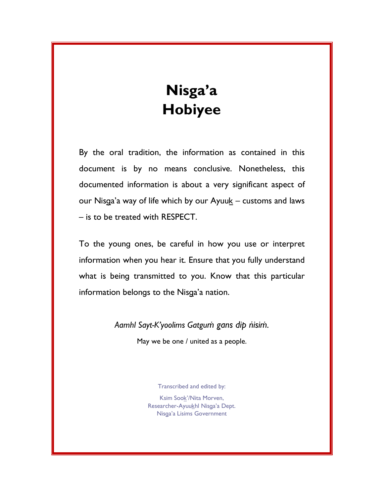# Nisga'a Hobiyee

By the oral tradition, the information as contained in this document is by no means conclusive. Nonetheless, this documented information is about a very significant aspect of our Nisga'a way of life which by our Ayuu $k -$  customs and laws – is to be treated with RESPECT.

To the young ones, be careful in how you use or interpret information when you hear it. Ensure that you fully understand what is being transmitted to you. Know that this particular information belongs to the Nisga'a nation.

> Aamhl Sayt-K'yoolims Gatgum gans dip nisim. May we be one / united as a people.

> > Transcribed and edited by:

Ksim Sook'/Nita Morven, Researcher-Ayuukhl Nisga'a Dept. Nisga'a Lisims Government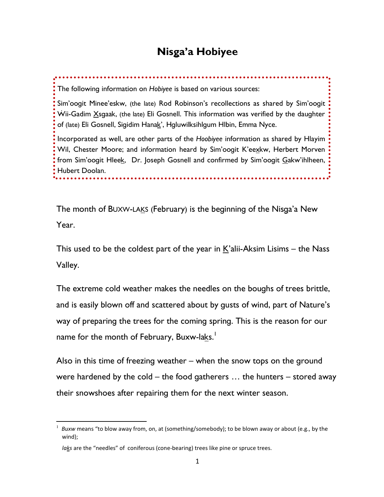## Nisga'a Hobiyee

The following information on Hobiyee is based on various sources:

Sim'oogit Minee'eskw, (the late) Rod Robinson's recollections as shared by Sim'oogit  $\dot{W}$ ii-Gadim  $X$ sgaak, (the late) Eli Gosnell. This information was verified by the daughter of (late) Eli Gosnell, Sigidim Hanak', Hgluwilksihlgum Hlbin, Emma Nyce.

Incorporated as well, are other parts of the Hoobiyee information as shared by Hlayim Wil, Chester Moore; and information heard by Sim'oogit K'eexkw, Herbert Morven from Sim'oogit Hleek, Dr. Joseph Gosnell and confirmed by Sim'oogit Gakw'ihlheen, Hubert Doolan.

The month of BUXW-LAKS (February) is the beginning of the Nisga'a New Year.

This used to be the coldest part of the year in K'alii-Aksim Lisims – the Nass Valley.

The extreme cold weather makes the needles on the boughs of trees brittle, and is easily blown off and scattered about by gusts of wind, part of Nature's way of preparing the trees for the coming spring. This is the reason for our name for the month of February, Buxw-la<u>k</u>s.<sup>1</sup>

Also in this time of freezing weather – when the snow tops on the ground were hardened by the cold – the food gatherers … the hunters – stored away their snowshoes after repairing them for the next winter season.

 $\overline{a}$ 

<sup>1</sup> Buxw means "to blow away from, on, at (something/somebody); to be blown away or about (e.g., by the wind);

laks are the "needles" of coniferous (cone-bearing) trees like pine or spruce trees.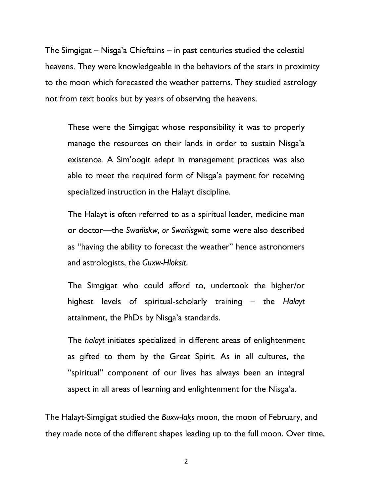The Simgigat – Nisga'a Chieftains – in past centuries studied the celestial heavens. They were knowledgeable in the behaviors of the stars in proximity to the moon which forecasted the weather patterns. They studied astrology not from text books but by years of observing the heavens.

These were the Simgigat whose responsibility it was to properly manage the resources on their lands in order to sustain Nisga'a existence. A Sim'oogit adept in management practices was also able to meet the required form of Nisga'a payment for receiving specialized instruction in the Halayt discipline.

The Halayt is often referred to as a spiritual leader, medicine man or doctor—the Swaîiskw, or Swaîisgwit; some were also described as "having the ability to forecast the weather" hence astronomers and astrologists, the Guxw-Hloksit.

The Simgigat who could afford to, undertook the higher/or highest levels of spiritual-scholarly training – the Halayt attainment, the PhDs by Nisga'a standards.

The halayt initiates specialized in different areas of enlightenment as gifted to them by the Great Spirit. As in all cultures, the "spiritual" component of our lives has always been an integral aspect in all areas of learning and enlightenment for the Nisga'a.

The Halayt-Simgigat studied the Buxw-laks moon, the moon of February, and they made note of the different shapes leading up to the full moon. Over time,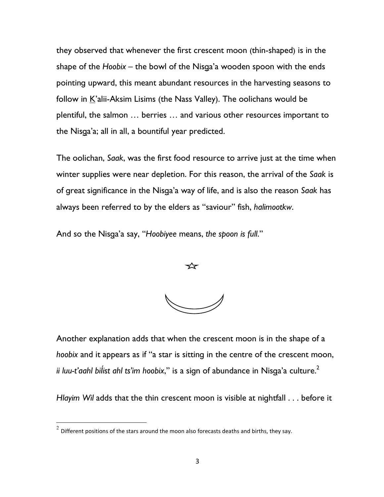they observed that whenever the first crescent moon (thin-shaped) is in the shape of the Hoobix – the bowl of the Nisga'a wooden spoon with the ends pointing upward, this meant abundant resources in the harvesting seasons to follow in K'alii-Aksim Lisims (the Nass Valley). The oolichans would be plentiful, the salmon … berries … and various other resources important to the Nisga'a; all in all, a bountiful year predicted.

The oolichan, Saak, was the first food resource to arrive just at the time when winter supplies were near depletion. For this reason, the arrival of the Saak is of great significance in the Nisga'a way of life, and is also the reason Saak has always been referred to by the elders as "saviour" fish, halimootkw.

And so the Nisga'a say, "Hoobiyee means, the spoon is full."

Another explanation adds that when the crescent moon is in the shape of a hoobix and it appears as if "a star is sitting in the centre of the crescent moon, ii luu-t'aahl bilist ahl ts'im hoobix," is a sign of abundance in Nisga'a culture. $2$ 

Hlayim Wil adds that the thin crescent moon is visible at nightfall . . . before it

 $\overline{a}$ 

 $^{2}$  Different positions of the stars around the moon also forecasts deaths and births, they say.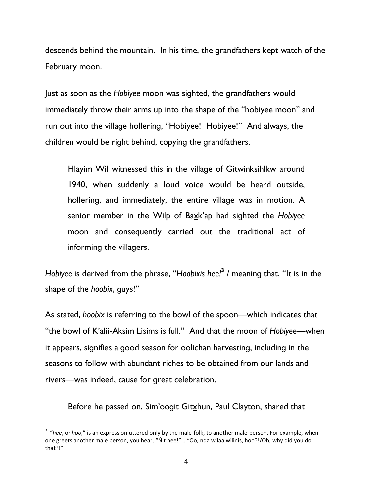descends behind the mountain. In his time, the grandfathers kept watch of the February moon.

Just as soon as the Hobiyee moon was sighted, the grandfathers would immediately throw their arms up into the shape of the "hobiyee moon" and run out into the village hollering, "Hobiyee! Hobiyee!" And always, the children would be right behind, copying the grandfathers.

Hlayim Wil witnessed this in the village of Gitwinksihlkw around 1940, when suddenly a loud voice would be heard outside, hollering, and immediately, the entire village was in motion. A senior member in the Wilp of Baxk'ap had sighted the Hobiyee moon and consequently carried out the traditional act of informing the villagers.

Hobiyee is derived from the phrase, "Hoobixis hee!<sup>3</sup> / meaning that, "It is in the shape of the hoobix, guys!"

As stated, hoobix is referring to the bowl of the spoon—which indicates that "the bowl of K'alii-Aksim Lisims is full." And that the moon of Hobiyee—when it appears, signifies a good season for oolichan harvesting, including in the seasons to follow with abundant riches to be obtained from our lands and rivers—was indeed, cause for great celebration.

Before he passed on, Sim'oogit Gitxhun, Paul Clayton, shared that

 $\overline{a}$ 

 $3$  "hee, or hoo," is an expression uttered only by the male-folk, to another male-person. For example, when one greets another male person, you hear, "Ńit hee!"… "Oo, nda wilaa wilinis, hoo?!/Oh, why did you do that?!"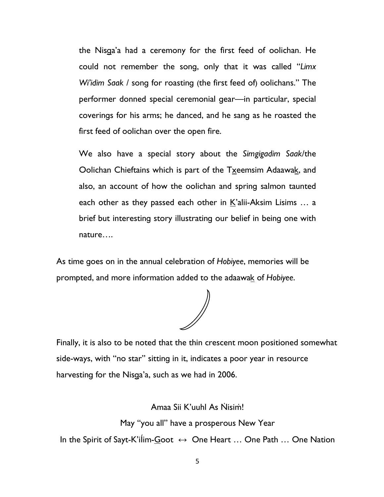the Nisga'a had a ceremony for the first feed of oolichan. He could not remember the song, only that it was called "Limx Wi'idim Saak / song for roasting (the first feed of) oolichans." The performer donned special ceremonial gear—in particular, special coverings for his arms; he danced, and he sang as he roasted the first feed of oolichan over the open fire.

We also have a special story about the Simgigadim Saak/the Oolichan Chieftains which is part of the Txeemsim Adaawak, and also, an account of how the oolichan and spring salmon taunted each other as they passed each other in  $K$ 'alii-Aksim Lisims  $\dots$  a brief but interesting story illustrating our belief in being one with nature….

As time goes on in the annual celebration of Hobiyee, memories will be prompted, and more information added to the adaawak of Hobiyee.

Finally, it is also to be noted that the thin crescent moon positioned somewhat side-ways, with "no star" sitting in it, indicates a poor year in resource harvesting for the Nisga'a, such as we had in 2006.

Amaa Sii K'uuhl As Nisim!

May "you all" have a prosperous New Year

In the Spirit of Sayt-K'ilim-Goot  $\leftrightarrow$  One Heart ... One Path ... One Nation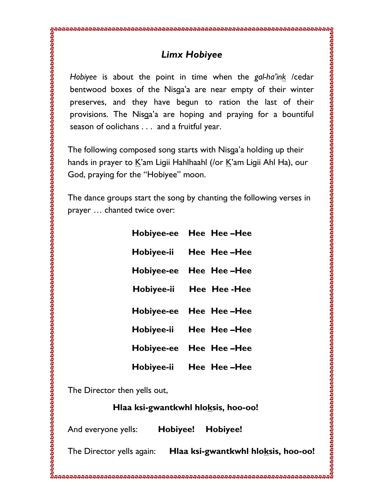### Limx Hobiyee

Hobiyee is about the point in time when the gal-ha'in<u>k</u> /cedar bentwood boxes of the Nisga'a are near empty of their winter preserves, and they have begun to ration the last of their provisions. The Nisga'a are hoping and praying for a bountiful season of oolichans . . . and a fruitful year.

The following composed song starts with Nisga'a holding up their hands in prayer to <u>K</u>'am Ligii Hahlhaahl (/or <u>K</u>'am Ligii Ahl Ha), our God, praying for the "Hobiyee" moon.

The dance groups start the song by chanting the following verses in prayer … chanted twice over:

| Hobiyee-ee | Hee Hee-Hee |
|------------|-------------|
| Hobiyee-ii | Hee Hee-Hee |
| Hobiyee-ee | Hee Hee-Hee |
| Hobiyee-ii | Hee Hee-Hee |
|            |             |
| Hobiyee-ee | Hee Hee-Hee |
| Hobiyee-ii | Hee Hee-Hee |
| Hobiyee-ee | Hee Hee-Hee |

The Director then yells out,

Hlaa ksi-gwantkwhl hloksis, hoo-oo!

And everyone yells: Hobiyee! Hobiyee!

The Director yells again: Hlaa ks**i-gwantkwhl hlo<u>k</u>sis, hoo-oo!**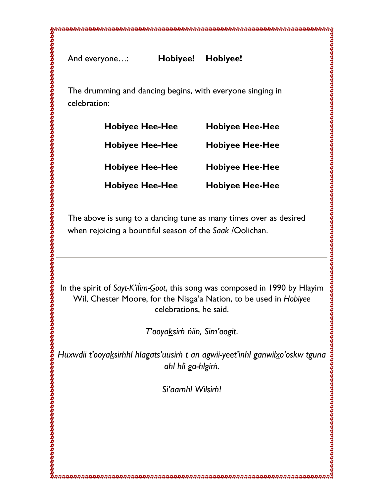The drumming and dancing begins, with everyone singing in celebration:

| <b>Hobiyee Hee-Hee</b> | <b>Hobiyee Hee-Hee</b> |
|------------------------|------------------------|
| <b>Hobiyee Hee-Hee</b> | <b>Hobiyee Hee-Hee</b> |
| <b>Hobiyee Hee-Hee</b> | <b>Hobiyee Hee-Hee</b> |
| <b>Hobiyee Hee-Hee</b> | <b>Hobiyee Hee-Hee</b> |

The above is sung to a dancing tune as many times over as desired when rejoicing a bountiful season of the Saak /Oolichan.

In the spirit of Sayt-K'ilim-<u>G</u>oot, this song was composed in 1990 by Hlayim Wil, Chester Moore, for the Nisga'a Nation, to be used in Hobiyee celebrations, he said.

T'ooyaksim niin, Sim'oogit.

Huxwdii t'ooya<u>k</u>simhl hlagats'uusim t an agwii-yeet'inhl ganwil<u>x</u>o'oskw tguna ahl hli ga-hlgiṁ.

Si'aamhl Wilsim!